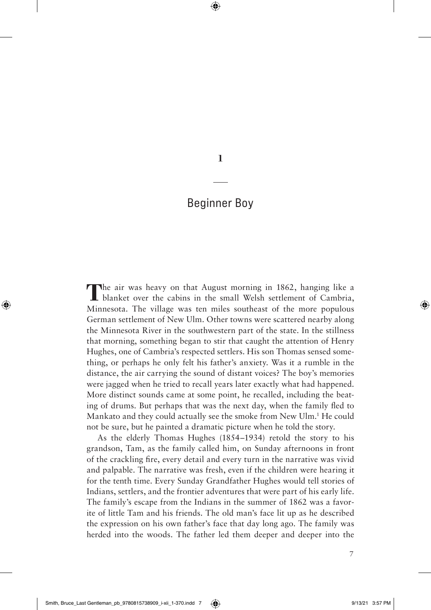**1**

## Beginner Boy

The air was heavy on that August morning in 1862, hanging like a blanket over the cabins in the small Welsh settlement of Cambria, Minnesota. The village was ten miles southeast of the more populous German settlement of New Ulm. Other towns were scattered nearby along the Minnesota River in the southwestern part of the state. In the stillness that morning, something began to stir that caught the attention of Henry Hughes, one of Cambria's respected settlers. His son Thomas sensed something, or perhaps he only felt his father's anxiety. Was it a rumble in the distance, the air carrying the sound of distant voices? The boy's memories were jagged when he tried to recall years later exactly what had happened. More distinct sounds came at some point, he recalled, including the beating of drums. But perhaps that was the next day, when the family fled to Mankato and they could actually see the smoke from New Ulm.<sup>1</sup> He could not be sure, but he painted a dramatic picture when he told the story.

As the elderly Thomas Hughes (1854–1934) retold the story to his grandson, Tam, as the family called him, on Sunday afternoons in front of the crackling fire, every detail and every turn in the narrative was vivid and palpable. The narrative was fresh, even if the children were hearing it for the tenth time. Every Sunday Grandfather Hughes would tell stories of Indians, settlers, and the frontier adventures that were part of his early life. The family's escape from the Indians in the summer of 1862 was a favorite of little Tam and his friends. The old man's face lit up as he described the expression on his own father's face that day long ago. The family was herded into the woods. The father led them deeper and deeper into the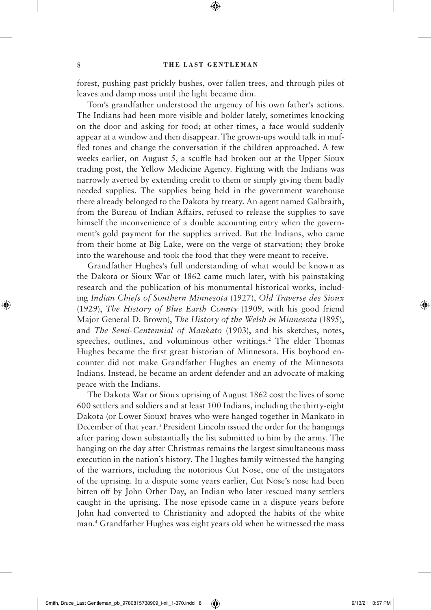forest, pushing past prickly bushes, over fallen trees, and through piles of leaves and damp moss until the light became dim.

Tom's grandfather understood the urgency of his own father's actions. The Indians had been more visible and bolder lately, sometimes knocking on the door and asking for food; at other times, a face would suddenly appear at a window and then disappear. The grown-ups would talk in muffled tones and change the conversation if the children approached. A few weeks earlier, on August 5, a scuffle had broken out at the Upper Sioux trading post, the Yellow Medicine Agency. Fighting with the Indians was narrowly averted by extending credit to them or simply giving them badly needed supplies. The supplies being held in the government warehouse there already belonged to the Dakota by treaty. An agent named Galbraith, from the Bureau of Indian Affairs, refused to release the supplies to save himself the inconvenience of a double accounting entry when the government's gold payment for the supplies arrived. But the Indians, who came from their home at Big Lake, were on the verge of starvation; they broke into the warehouse and took the food that they were meant to receive.

Grandfather Hughes's full understanding of what would be known as the Dakota or Sioux War of 1862 came much later, with his painstaking research and the publication of his monumental historical works, including *Indian Chiefs of Southern Minnesota* (1927), *Old Traverse des Sioux* (1929), *The History of Blue Earth County* (1909, with his good friend Major General D. Brown), *The History of the Welsh in Minnesota* (1895), and *The Semi-Centennial of Mankato* (1903), and his sketches, notes, speeches, outlines, and voluminous other writings.<sup>2</sup> The elder Thomas Hughes became the first great historian of Minnesota. His boyhood encounter did not make Grandfather Hughes an enemy of the Minnesota Indians. Instead, he became an ardent defender and an advocate of making peace with the Indians.

The Dakota War or Sioux uprising of August 1862 cost the lives of some 600 settlers and soldiers and at least 100 Indians, including the thirty-eight Dakota (or Lower Sioux) braves who were hanged together in Mankato in December of that year.<sup>3</sup> President Lincoln issued the order for the hangings after paring down substantially the list submitted to him by the army. The hanging on the day after Christmas remains the largest simultaneous mass execution in the nation's history. The Hughes family witnessed the hanging of the warriors, including the notorious Cut Nose, one of the instigators of the uprising. In a dispute some years earlier, Cut Nose's nose had been bitten off by John Other Day, an Indian who later rescued many settlers caught in the uprising. The nose episode came in a dispute years before John had converted to Christianity and adopted the habits of the white man.4 Grandfather Hughes was eight years old when he witnessed the mass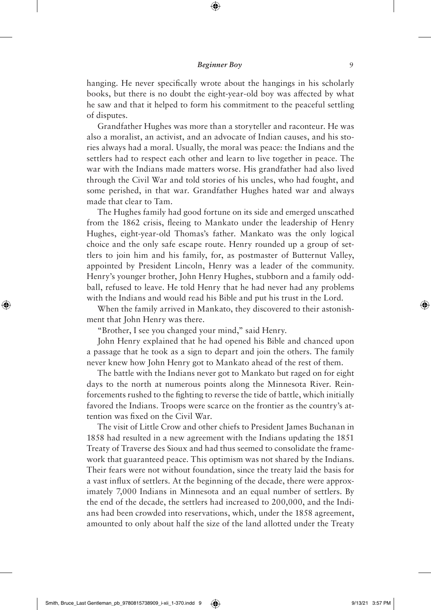## **Beginner Boy** 9

hanging. He never specifically wrote about the hangings in his scholarly books, but there is no doubt the eight-year-old boy was affected by what he saw and that it helped to form his commitment to the peaceful settling of disputes.

Grandfather Hughes was more than a storyteller and raconteur. He was also a moralist, an activist, and an advocate of Indian causes, and his stories always had a moral. Usually, the moral was peace: the Indians and the settlers had to respect each other and learn to live together in peace. The war with the Indians made matters worse. His grandfather had also lived through the Civil War and told stories of his uncles, who had fought, and some perished, in that war. Grandfather Hughes hated war and always made that clear to Tam.

The Hughes family had good fortune on its side and emerged unscathed from the 1862 crisis, fleeing to Mankato under the leadership of Henry Hughes, eight-year-old Thomas's father. Mankato was the only logical choice and the only safe escape route. Henry rounded up a group of settlers to join him and his family, for, as postmaster of Butternut Valley, appointed by President Lincoln, Henry was a leader of the community. Henry's younger brother, John Henry Hughes, stubborn and a family oddball, refused to leave. He told Henry that he had never had any problems with the Indians and would read his Bible and put his trust in the Lord.

When the family arrived in Mankato, they discovered to their astonishment that John Henry was there.

"Brother, I see you changed your mind," said Henry.

John Henry explained that he had opened his Bible and chanced upon a passage that he took as a sign to depart and join the others. The family never knew how John Henry got to Mankato ahead of the rest of them.

The battle with the Indians never got to Mankato but raged on for eight days to the north at numerous points along the Minnesota River. Reinforcements rushed to the fighting to reverse the tide of battle, which initially favored the Indians. Troops were scarce on the frontier as the country's attention was fixed on the Civil War.

The visit of Little Crow and other chiefs to President James Buchanan in 1858 had resulted in a new agreement with the Indians updating the 1851 Treaty of Traverse des Sioux and had thus seemed to consolidate the framework that guaranteed peace. This optimism was not shared by the Indians. Their fears were not without foundation, since the treaty laid the basis for a vast influx of settlers. At the beginning of the decade, there were approximately 7,000 Indians in Minnesota and an equal number of settlers. By the end of the decade, the settlers had increased to 200,000, and the Indians had been crowded into reservations, which, under the 1858 agreement, amounted to only about half the size of the land allotted under the Treaty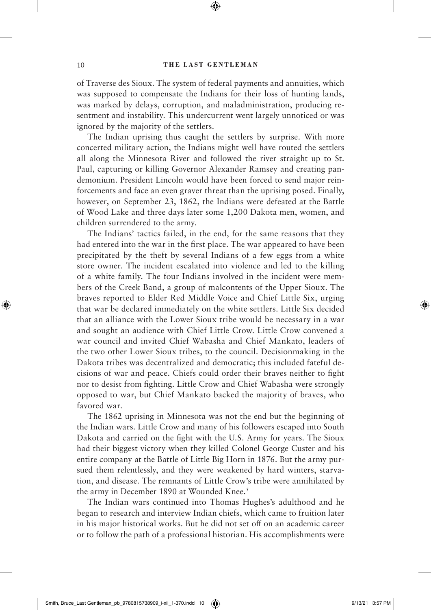of Traverse des Sioux. The system of federal payments and annuities, which was supposed to compensate the Indians for their loss of hunting lands, was marked by delays, corruption, and maladministration, producing resentment and instability. This undercurrent went largely unnoticed or was ignored by the majority of the settlers.

The Indian uprising thus caught the settlers by surprise. With more concerted military action, the Indians might well have routed the settlers all along the Minnesota River and followed the river straight up to St. Paul, capturing or killing Governor Alexander Ramsey and creating pandemonium. President Lincoln would have been forced to send major reinforcements and face an even graver threat than the uprising posed. Finally, however, on September 23, 1862, the Indians were defeated at the Battle of Wood Lake and three days later some 1,200 Dakota men, women, and children surrendered to the army.

The Indians' tactics failed, in the end, for the same reasons that they had entered into the war in the first place. The war appeared to have been precipitated by the theft by several Indians of a few eggs from a white store owner. The incident escalated into violence and led to the killing of a white family. The four Indians involved in the incident were members of the Creek Band, a group of malcontents of the Upper Sioux. The braves reported to Elder Red Middle Voice and Chief Little Six, urging that war be declared immediately on the white settlers. Little Six decided that an alliance with the Lower Sioux tribe would be necessary in a war and sought an audience with Chief Little Crow. Little Crow convened a war council and invited Chief Wabasha and Chief Mankato, leaders of the two other Lower Sioux tribes, to the council. Decisionmaking in the Dakota tribes was decentralized and democratic; this included fateful decisions of war and peace. Chiefs could order their braves neither to fight nor to desist from fighting. Little Crow and Chief Wabasha were strongly opposed to war, but Chief Mankato backed the majority of braves, who favored war.

The 1862 uprising in Minnesota was not the end but the beginning of the Indian wars. Little Crow and many of his followers escaped into South Dakota and carried on the fight with the U.S. Army for years. The Sioux had their biggest victory when they killed Colonel George Custer and his entire company at the Battle of Little Big Horn in 1876. But the army pursued them relentlessly, and they were weakened by hard winters, starvation, and disease. The remnants of Little Crow's tribe were annihilated by the army in December 1890 at Wounded Knee.<sup>5</sup>

The Indian wars continued into Thomas Hughes's adulthood and he began to research and interview Indian chiefs, which came to fruition later in his major historical works. But he did not set off on an academic career or to follow the path of a professional historian. His accomplishments were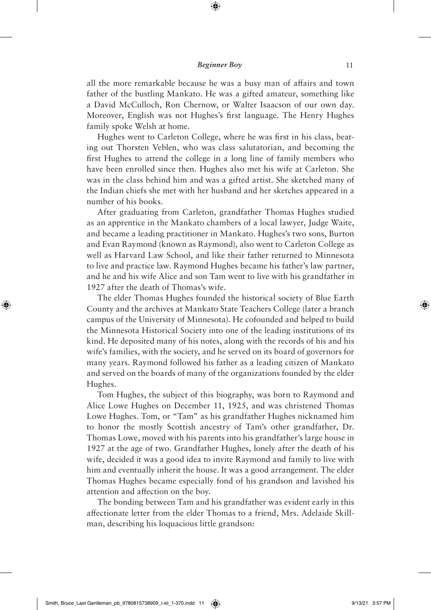all the more remarkable because he was a busy man of affairs and town father of the bustling Mankato. He was a gifted amateur, something like a David McCulloch, Ron Chernow, or Walter Isaacson of our own day. Moreover, English was not Hughes's first language. The Henry Hughes family spoke Welsh at home.

Hughes went to Carleton College, where he was first in his class, beating out Thorsten Veblen, who was class salutatorian, and becoming the first Hughes to attend the college in a long line of family members who have been enrolled since then. Hughes also met his wife at Carleton. She was in the class behind him and was a gifted artist. She sketched many of the Indian chiefs she met with her husband and her sketches appeared in a number of his books.

After graduating from Carleton, grandfather Thomas Hughes studied as an apprentice in the Mankato chambers of a local lawyer, Judge Waite, and became a leading practitioner in Mankato. Hughes's two sons, Burton and Evan Raymond (known as Raymond), also went to Carleton College as well as Harvard Law School, and like their father returned to Minnesota to live and practice law. Raymond Hughes became his father's law partner, and he and his wife Alice and son Tam went to live with his grandfather in 1927 after the death of Thomas's wife.

The elder Thomas Hughes founded the historical society of Blue Earth County and the archives at Mankato State Teachers College (later a branch campus of the University of Minnesota). He cofounded and helped to build the Minnesota Historical Society into one of the leading institutions of its kind. He deposited many of his notes, along with the records of his and his wife's families, with the society, and he served on its board of governors for many years. Raymond followed his father as a leading citizen of Mankato and served on the boards of many of the organizations founded by the elder Hughes.

Tom Hughes, the subject of this biography, was born to Raymond and Alice Lowe Hughes on December 11, 1925, and was christened Thomas Lowe Hughes. Tom, or "Tam" as his grandfather Hughes nicknamed him to honor the mostly Scottish ancestry of Tam's other grandfather, Dr. Thomas Lowe, moved with his parents into his grandfather's large house in 1927 at the age of two. Grandfather Hughes, lonely after the death of his wife, decided it was a good idea to invite Raymond and family to live with him and eventually inherit the house. It was a good arrangement. The elder Thomas Hughes became especially fond of his grandson and lavished his attention and affection on the boy.

The bonding between Tam and his grandfather was evident early in this affectionate letter from the elder Thomas to a friend, Mrs. Adelaide Skillman, describing his loquacious little grandson: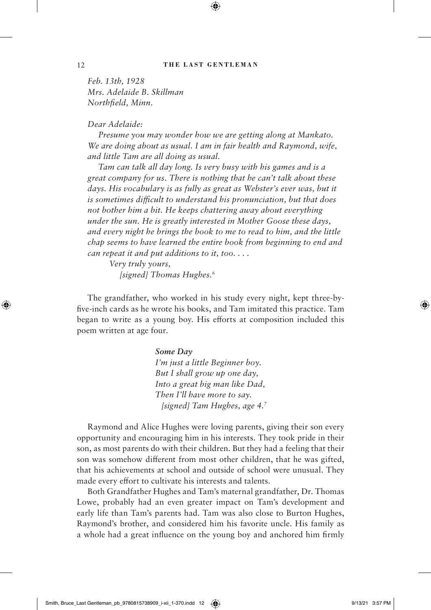*Feb. 13th, 1928 Mrs. Adelaide B. Skillman Northfield, Minn.*

## *Dear Adelaide:*

*Presume you may wonder how we are getting along at Mankato. We are doing about as usual. I am in fair health and Raymond, wife, and little Tam are all doing as usual.*

*Tam can talk all day long. Is very busy with his games and is a great company for us. There is nothing that he can't talk about these*  days. His vocabulary is as fully as great as Webster's ever was, but it *is sometimes difficult to understand his pronunciation, but that does not bother him a bit. He keeps chattering away about everything under the sun. He is greatly interested in Mother Goose these days, and every night he brings the book to me to read to him, and the little chap seems to have learned the entire book from beginning to end and can repeat it and put additions to it, too. . . .* 

*Very truly yours, [signed] Thomas Hughes.6*

The grandfather, who worked in his study every night, kept three-byfive-inch cards as he wrote his books, and Tam imitated this practice. Tam began to write as a young boy. His efforts at composition included this poem written at age four.

## *Some Day*

*I'm just a little Beginner boy. But I shall grow up one day, Into a great big man like Dad, Then I'll have more to say. [signed] Tam Hughes, age 4.7*

Raymond and Alice Hughes were loving parents, giving their son every opportunity and encouraging him in his interests. They took pride in their son, as most parents do with their children. But they had a feeling that their son was somehow different from most other children, that he was gifted, that his achievements at school and outside of school were unusual. They made every effort to cultivate his interests and talents.

Both Grandfather Hughes and Tam's maternal grandfather, Dr. Thomas Lowe, probably had an even greater impact on Tam's development and early life than Tam's parents had. Tam was also close to Burton Hughes, Raymond's brother, and considered him his favorite uncle. His family as a whole had a great influence on the young boy and anchored him firmly